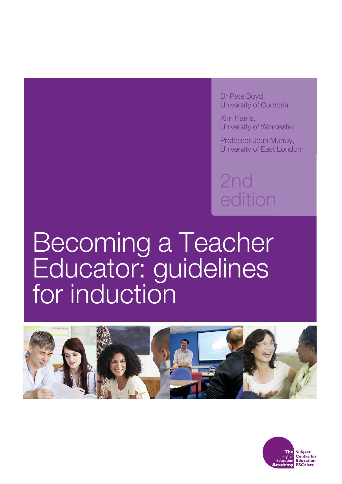Dr Pete Boyd, University of Cumbria

Kim Harris, University of Worcester

Professor Jean Murray, University of East London

2nd edition

# Becoming a Teacher Educator: guidelines for induction



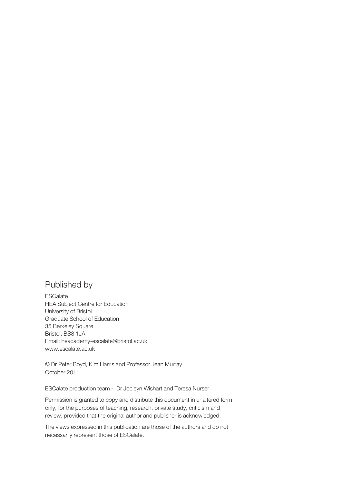#### Published by

**ESCalate** HEA Subject Centre for Education University of Bristol Graduate School of Education 35 Berkeley Square Bristol, BS8 1JA Email: heacademy-escalate@bristol.ac.uk www.escalate.ac.uk

© Dr Peter Boyd, Kim Harris and Professor Jean Murray October 2011

ESCalate production team - Dr Jocleyn Wishart and Teresa Nurser

Permission is granted to copy and distribute this document in unaltered form only, for the purposes of teaching, research, private study, criticism and review, provided that the original author and publisher is acknowledged.

The views expressed in this publication are those of the authors and do not necessarily represent those of ESCalate.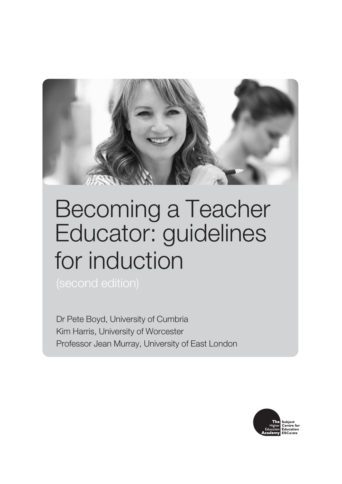

## Becoming a Teacher Educator: guidelines for induction

Dr Pete Boyd, University of Cumbria Kim Harris, University of Worcester Professor Jean Murray, University of East London

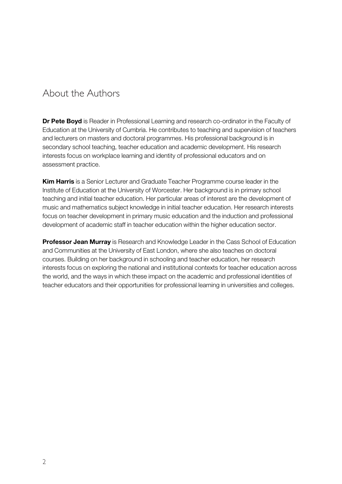#### About the Authors

**Dr Pete Boyd** is Reader in Professional Learning and research co-ordinator in the Faculty of Education at the University of Cumbria. He contributes to teaching and supervision of teachers and lecturers on masters and doctoral programmes. His professional background is in secondary school teaching, teacher education and academic development. His research interests focus on workplace learning and identity of professional educators and on assessment practice.

**Kim Harris** is a Senior Lecturer and Graduate Teacher Programme course leader in the Institute of Education at the University of Worcester. Her background is in primary school teaching and initial teacher education. Her particular areas of interest are the development of music and mathematics subject knowledge in initial teacher education. Her research interests focus on teacher development in primary music education and the induction and professional development of academic staff in teacher education within the higher education sector.

**Professor Jean Murray** is Research and Knowledge Leader in the Cass School of Education and Communities at the University of East London, where she also teaches on doctoral courses. Building on her background in schooling and teacher education, her research interests focus on exploring the national and institutional contexts for teacher education across the world, and the ways in which these impact on the academic and professional identities of teacher educators and their opportunities for professional learning in universities and colleges.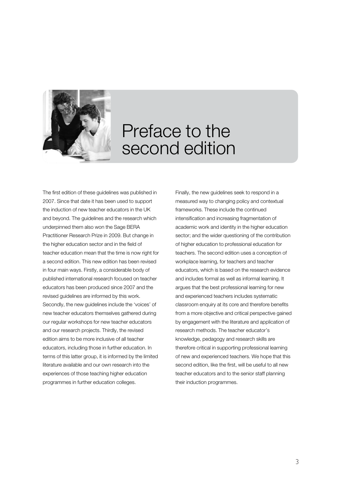

### Preface to the second edition

The first edition of these guidelines was published in 2007. Since that date it has been used to support the induction of new teacher educators in the UK and beyond. The guidelines and the research which underpinned them also won the Sage BERA Practitioner Research Prize in 2009. But change in the higher education sector and in the field of teacher education mean that the time is now right for a second edition. This new edition has been revised in four main ways. Firstly, a considerable body of published international research focused on teacher educators has been produced since 2007 and the revised guidelines are informed by this work. Secondly, the new guidelines include the 'voices' of new teacher educators themselves gathered during our regular workshops for new teacher educators and our research projects. Thirdly, the revised edition aims to be more inclusive of all teacher educators, including those in further education. In terms of this latter group, it is informed by the limited literature available and our own research into the experiences of those teaching higher education programmes in further education colleges.

Finally, the new guidelines seek to respond in a measured way to changing policy and contextual frameworks. These include the continued intensification and increasing fragmentation of academic work and identity in the higher education sector; and the wider questioning of the contribution of higher education to professional education for teachers. The second edition uses a conception of workplace learning, for teachers and teacher educators, which is based on the research evidence and includes formal as well as informal learning. It argues that the best professional learning for new and experienced teachers includes systematic classroom enquiry at its core and therefore benefits from a more objective and critical perspective gained by engagement with the literature and application of research methods. The teacher educator's knowledge, pedagogy and research skills are therefore critical in supporting professional learning of new and experienced teachers. We hope that this second edition, like the first, will be useful to all new teacher educators and to the senior staff planning their induction programmes.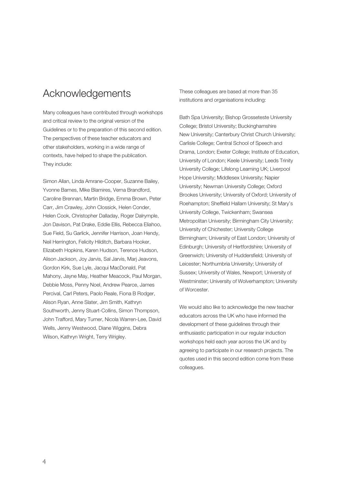#### Acknowledgements

Many colleagues have contributed through workshops and critical review to the original version of the Guidelines or to the preparation of this second edition. The perspectives of these teacher educators and other stakeholders, working in a wide range of contexts, have helped to shape the publication. They include:

Simon Allan, Linda Amrane-Cooper, Suzanne Bailey, Yvonne Barnes, Mike Blamires, Verna Brandford, Caroline Brennan, Martin Bridge, Emma Brown, Peter Carr, Jim Crawley, John Clossick, Helen Conder, Helen Cook, Christopher Dalladay, Roger Dalrymple, Jon Davison, Pat Drake, Eddie Ellis, Rebecca Eliahoo, Sue Field, Su Garlick, Jennifer Harrison, Joan Hendy, Neil Herrington, Felicity Hilditch, Barbara Hooker, Elizabeth Hopkins, Karen Hudson, Terence Hudson, Alison Jackson, Joy Jarvis, Sal Jarvis, Marj Jeavons, Gordon Kirk, Sue Lyle, Jacqui MacDonald, Pat Mahony, Jayne May, Heather Meacock, Paul Morgan, Debbie Moss, Penny Noel, Andrew Pearce, James Percival, Carl Peters, Paolo Reale, Fiona B Rodger, Alison Ryan, Anne Slater, Jim Smith, Kathryn Southworth, Jenny Stuart-Collins, Simon Thompson, John Trafford, Mary Turner, Nicola Warren-Lee, David Wells, Jenny Westwood, Diane Wiggins, Debra Wilson, Kathryn Wright, Terry Wrigley.

These colleagues are based at more than 35 institutions and organisations including:

Bath Spa University; Bishop Grosseteste University College; Bristol University; Buckinghamshire New University; Canterbury Christ Church University; Carlisle College; Central School of Speech and Drama, London; Exeter College; Institute of Education, University of London; Keele University; Leeds Trinity University College; Lifelong Learning UK; Liverpool Hope University; Middlesex University; Napier University; Newman University College; Oxford Brookes University; University of Oxford; University of Roehampton; Sheffield Hallam University; St Mary's University College, Twickenham; Swansea Metropolitan University; Birmingham City University; University of Chichester; University College Birmingham; University of East London; University of Edinburgh; University of Hertfordshire; University of Greenwich; University of Huddersfield; University of Leicester; Northumbria University; University of Sussex; University of Wales, Newport; University of Westminster; University of Wolverhampton; University of Worcester.

We would also like to acknowledge the new teacher educators across the UK who have informed the development of these guidelines through their enthusiastic participation in our regular induction workshops held each year across the UK and by agreeing to participate in our research projects. The quotes used in this second edition come from these colleagues.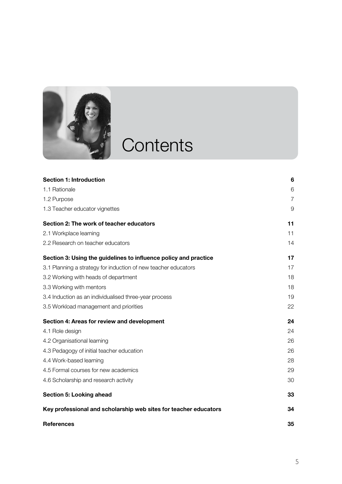

# **Contents**

| <b>Section 1: Introduction</b>                                   | 6              |
|------------------------------------------------------------------|----------------|
| 1.1 Rationale                                                    | 6              |
| 1.2 Purpose                                                      | $\overline{7}$ |
| 1.3 Teacher educator vignettes                                   | 9              |
| Section 2: The work of teacher educators                         | 11             |
| 2.1 Workplace learning                                           | 11             |
| 2.2 Research on teacher educators                                | 14             |
| Section 3: Using the guidelines to influence policy and practice | 17             |
| 3.1 Planning a strategy for induction of new teacher educators   | 17             |
| 3.2 Working with heads of department                             | 18             |
| 3.3 Working with mentors                                         | 18             |
| 3.4 Induction as an individualised three-year process            | 19             |
| 3.5 Workload management and priorities                           | 22             |
| Section 4: Areas for review and development                      | 24             |
| 4.1 Role design                                                  | 24             |
| 4.2 Organisational learning                                      | 26             |
| 4.3 Pedagogy of initial teacher education                        | 26             |
| 4.4 Work-based learning                                          | 28             |
| 4.5 Formal courses for new academics                             | 29             |
| 4.6 Scholarship and research activity                            | 30             |
| Section 5: Looking ahead                                         | 33             |
| Key professional and scholarship web sites for teacher educators | 34             |
| <b>References</b>                                                | 35             |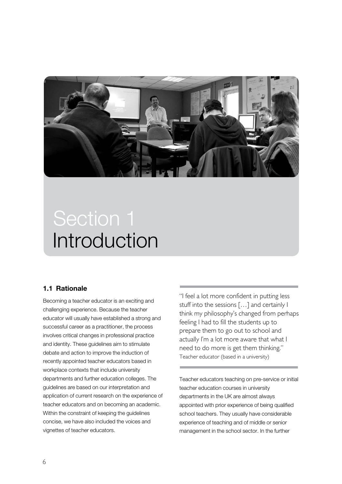

### Introduction Section 1

#### **1.1 Rationale**

Becoming a teacher educator is an exciting and challenging experience. Because the teacher educator will usually have established a strong and successful career as a practitioner, the process involves critical changes in professional practice and identity. These guidelines aim to stimulate debate and action to improve the induction of recently appointed teacher educators based in workplace contexts that include university departments and further education colleges. The guidelines are based on our interpretation and application of current research on the experience of teacher educators and on becoming an academic. Within the constraint of keeping the guidelines concise, we have also included the voices and vignettes of teacher educators.

"I feel a lot more confident in putting less stuff into the sessions […] and certainly I think my philosophy's changed from perhaps feeling I had to fill the students up to prepare them to go out to school and actually I'm a lot more aware that what I need to do more is get them thinking." Teacher educator (based in a university)

Teacher educators teaching on pre-service or initial teacher education courses in university departments in the UK are almost always appointed with prior experience of being qualified school teachers. They usually have considerable experience of teaching and of middle or senior management in the school sector. In the further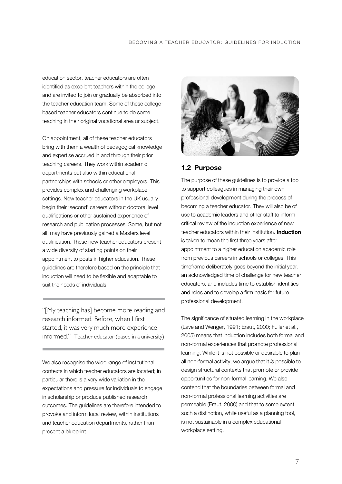education sector, teacher educators are often identified as excellent teachers within the college and are invited to join or gradually be absorbed into the teacher education team. Some of these collegebased teacher educators continue to do some teaching in their original vocational area or subject.

On appointment, all of these teacher educators bring with them a wealth of pedagogical knowledge and expertise accrued in and through their prior teaching careers. They work within academic departments but also within educational partnerships with schools or other employers. This provides complex and challenging workplace settings. New teacher educators in the UK usually begin their 'second' careers without doctoral level qualifications or other sustained experience of research and publication processes. Some, but not all, may have previously gained a Masters level qualification. These new teacher educators present a wide diversity of starting points on their appointment to posts in higher education. These guidelines are therefore based on the principle that induction will need to be flexible and adaptable to suit the needs of individuals.

"[My teaching has] become more reading and research informed. Before, when I first started, it was very much more experience informed." Teacher educator (based in a university)

We also recognise the wide range of institutional contexts in which teacher educators are located; in particular there is a very wide variation in the expectations and pressure for individuals to engage in scholarship or produce published research outcomes. The guidelines are therefore intended to provoke and inform local review, within institutions and teacher education departments, rather than present a blueprint.



#### **1.2 Purpose**

The purpose of these guidelines is to provide a tool to support colleagues in managing their own professional development during the process of becoming a teacher educator. They will also be of use to academic leaders and other staff to inform critical review of the induction experience of new teacher educators within their institution. **Induction** is taken to mean the first three years after appointment to a higher education academic role from previous careers in schools or colleges. This timeframe deliberately goes beyond the initial year, an acknowledged time of challenge for new teacher educators, and includes time to establish identities and roles and to develop a firm basis for future professional development.

The significance of situated learning in the workplace (Lave and Wenger, 1991; Eraut, 2000; Fuller et al., 2005) means that induction includes both formal and non-formal experiences that promote professional learning. While it is not possible or desirable to plan all non-formal activity, we argue that it *is* possible to design structural contexts that promote or provide opportunities for non-formal learning. We also contend that the boundaries between formal and non-formal professional learning activities are permeable (Eraut, 2000) and that to some extent such a distinction, while useful as a planning tool, is not sustainable in a complex educational workplace setting.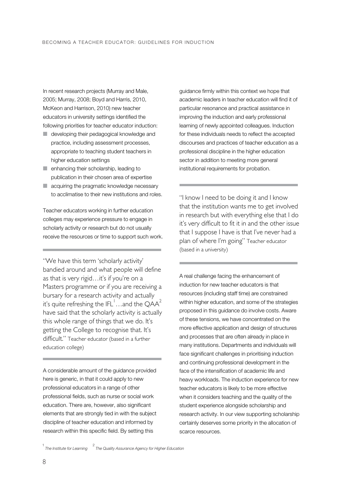In recent research projects (Murray and Male, 2005; Murray, 2008; Boyd and Harris, 2010, McKeon and Harrison, 2010) new teacher educators in university settings identified the following priorities for teacher educator induction:

- developing their pedagogical knowledge and practice, including assessment processes, appropriate to teaching student teachers in higher education settings
- enhancing their scholarship, leading to publication in their chosen area of expertise
- acquiring the pragmatic knowledge necessary to acclimatise to their new institutions and roles.

Teacher educators working in further education colleges may experience pressure to engage in scholarly activity or research but do not usually receive the resources or time to support such work.

"We have this term 'scholarly activity' bandied around and what people will define as that is very rigid…it's if you're on a Masters programme or if you are receiving a bursary for a research activity and actually it's quite refreshing the IFL $^{\dagger}$  . . and the QAA $^{2}$ have said that the scholarly activity is actually this whole range of things that we do. It's getting the College to recognise that. It's difficult." Teacher educator (based in a further education college)

A considerable amount of the guidance provided here is generic, in that it could apply to new professional educators in a range of other professional fields, such as nurse or social work education. There are, however, also significant elements that are strongly tied in with the subject discipline of teacher education and informed by research within this specific field. By setting this

guidance firmly within this context we hope that academic leaders in teacher education will find it of particular resonance and practical assistance in improving the induction and early professional learning of newly appointed colleagues. Induction for these individuals needs to reflect the accepted discourses and practices of teacher education as a professional discipline in the higher education sector in addition to meeting more general institutional requirements for probation.

"I know I need to be doing it and I know that the institution wants me to get involved in research but with everything else that I do it's very difficult to fit it in and the other issue that I suppose I have is that I've never had a plan of where I'm going" Teacher educator (based in a university)

A real challenge facing the enhancement of induction for new teacher educators is that resources (including staff time) are constrained within higher education, and some of the strategies proposed in this guidance do involve costs. Aware of these tensions, we have concentrated on the more effective application and design of structures and processes that are often already in place in many institutions. Departments and individuals will face significant challenges in prioritising induction and continuing professional development in the face of the intensification of academic life and heavy workloads. The induction experience for new teacher educators is likely to be more effective when it considers teaching and the quality of the student experience alongside scholarship and research activity. In our view supporting scholarship certainly deserves some priority in the allocation of scarce resources.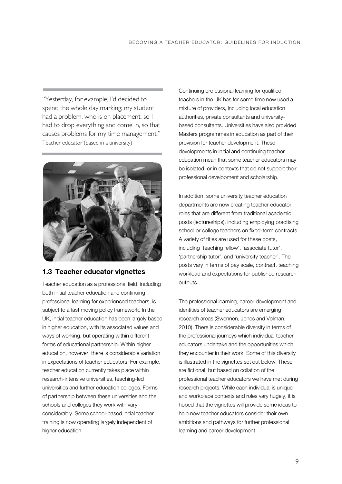"Yesterday, for example, I'd decided to spend the whole day marking; my student had a problem, who is on placement, so I had to drop everything and come in, so that causes problems for my time management." Teacher educator (based in a university)



#### **1.3 Teacher educator vignettes**

Teacher education as a professional field, including both initial teacher education and continuing professional learning for experienced teachers, is subject to a fast moving policy framework. In the UK, initial teacher education has been largely based in higher education, with its associated values and ways of working, but operating within different forms of educational partnership. Within higher education, however, there is considerable variation in expectations of teacher educators. For example, teacher education currently takes place within research-intensive universities, teaching-led universities and further education colleges. Forms of partnership between these universities and the schools and colleges they work with vary considerably. Some school-based initial teacher training is now operating largely independent of higher education.

Continuing professional learning for qualified teachers in the UK has for some time now used a mixture of providers, including local education authorities, private consultants and universitybased consultants. Universities have also provided Masters programmes in education as part of their provision for teacher development. These developments in initial and continuing teacher education mean that some teacher educators may be isolated, or in contexts that do not support their professional development and scholarship.

In addition, some university teacher education departments are now creating teacher educator roles that are different from traditional academic posts (lectureships), including employing practising school or college teachers on fixed-term contracts. A variety of titles are used for these posts, including 'teaching fellow', 'associate tutor', 'partnership tutor', and 'university teacher'. The posts vary in terms of pay scale, contract, teaching workload and expectations for published research outputs.

The professional learning, career development and identities of teacher educators are emerging research areas (Swennen, Jones and Volman, 2010). There is considerable diversity in terms of the professional journeys which individual teacher educators undertake and the opportunities which they encounter in their work. Some of this diversity is illustrated in the vignettes set out below. These are fictional, but based on collation of the professional teacher educators we have met during research projects. While each individual is unique and workplace contexts and roles vary hugely, it is hoped that the vignettes will provide some ideas to help new teacher educators consider their own ambitions and pathways for further professional learning and career development.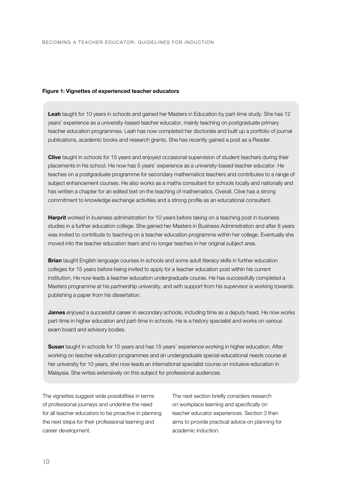#### **Figure 1: Vignettes of experienced teacher educators**

**Leah** taught for 10 years in schools and gained her Masters in Education by part-time study. She has 12 years' experience as a university-based teacher educator, mainly teaching on postgraduate primary teacher education programmes. Leah has now completed her doctorate and built up a portfolio of journal publications, academic books and research grants. She has recently gained a post as a Reader.

**Clive** taught in schools for 15 years and enjoyed occasional supervision of student teachers during their placements in his school. He now has 5 years' experience as a university-based teacher educator. He teaches on a postgraduate programme for secondary mathematics teachers and contributes to a range of subject enhancement courses. He also works as a maths consultant for schools locally and nationally and has written a chapter for an edited text on the teaching of mathematics. Overall, Clive has a strong commitment to knowledge exchange activities and a strong profile as an educational consultant.

**Harprit** worked in business administration for 10 years before taking on a teaching post in business studies in a further education college. She gained her Masters in Business Administration and after 8 years was invited to contribute to teaching on a teacher education programme within her college. Eventually she moved into the teacher education team and no longer teaches in her original subject area.

**Brian** taught English language courses in schools and some adult literacy skills in further education colleges for 15 years before being invited to apply for a teacher education post within his current institution. He now leads a teacher education undergraduate course. He has successfully completed a Masters programme at his partnership university, and with support from his supervisor is working towards publishing a paper from his dissertation.

**James** enjoyed a successful career in secondary schools, including time as a deputy head. He now works part-time in higher education and part-time in schools. He is a history specialist and works on various exam board and advisory bodies.

**Susan** taught in schools for 15 years and has 15 years' experience working in higher education. After working on teacher education programmes and an undergraduate special educational needs course at her university for 10 years, she now leads an international specialist course on inclusive education in Malaysia. She writes extensively on this subject for professional audiences.

The vignettes suggest wide possibilities in terms of professional journeys and underline the need for all teacher educators to be proactive in planning the next steps for their professional learning and career development.

The next section briefly considers research on workplace learning and specifically on teacher educator experiences. Section 3 then aims to provide practical advice on planning for academic induction.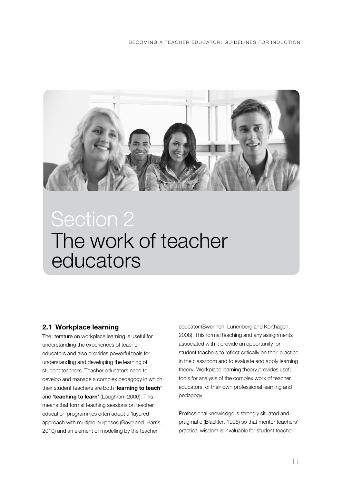

### The work of teacher educators Section 2

#### **2.1 Workplace learning**

The literature on workplace learning is useful for understanding the experiences of teacher educators and also provides powerful tools for understanding and developing the learning of student teachers. Teacher educators need to develop and manage a complex pedagogy in which their student teachers are both **'learning to teach'** and **'teaching to learn'** (Loughran, 2006). This means that formal teaching sessions on teacher education programmes often adopt a 'layered' approach with multiple purposes (Boyd and Harris, 2010) and an element of modelling by the teacher

educator (Swennen, Lunenberg and Korthagen, 2008). This formal teaching and any assignments associated with it provide an opportunity for student teachers to reflect critically on their practice in the classroom and to evaluate and apply learning theory. Workplace learning theory provides useful tools for analysis of the complex work of teacher educators, of their own professional learning and pedagogy.

Professional knowledge is strongly situated and pragmatic (Blackler, 1995) so that mentor teachers' practical wisdom is invaluable for student teacher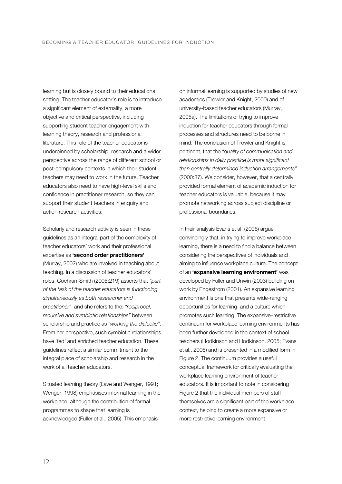learning but is closely bound to their educational setting. The teacher educator's role is to introduce a significant element of externality, a more objective and critical perspective, including supporting student teacher engagement with learning theory, research and professional literature. This role of the teacher educator is underpinned by scholarship, research and a wider perspective across the range of different school or post-compulsory contexts in which their student teachers may need to work in the future. Teacher educators also need to have high-level skills and confidence in practitioner research, so they can support their student teachers in enquiry and action research activities.

Scholarly and research activity is seen in these guidelines as an integral part of the complexity of teacher educators' work and their professional expertise as **'second order practitioners'** (Murray, 2002) who are involved in teaching about teaching. In a discussion of teacher educators' roles, Cochran-Smith (2005:219) asserts that *"part of the task of the teacher educators is functioning simultaneously as both researcher and practitioner"*, and she refers to the: *"reciprocal, recursive and symbiotic relationships"* between scholarship and practice as *"working the dialectic"*. From her perspective, such symbiotic relationships have 'fed' and enriched teacher education. These guidelines reflect a similar commitment to the integral place of scholarship and research in the work of all teacher educators.

Situated learning theory (Lave and Wenger, 1991; Wenger, 1998) emphasises informal learning in the workplace, although the contribution of formal programmes to shape that learning is acknowledged (Fuller et al., 2005). This emphasis

on informal learning is supported by studies of new academics (Trowler and Knight, 2000) and of university-based teacher educators (Murray, 2005a). The limitations of trying to improve induction for teacher educators through formal processes and structures need to be borne in mind. The conclusion of Trowler and Knight is pertinent, that the *"quality of communication and relationships in daily practice is more significant than centrally determined induction arrangements"* (2000:37). We consider, however, that a centrally provided formal element of academic induction for teacher educators is valuable, because it may promote networking across subject discipline or professional boundaries.

In their analysis Evans et al. (2006) argue convincingly that, in trying to improve workplace learning, there is a need to find a balance between considering the perspectives of individuals and aiming to influence workplace culture. The concept of an **'expansive learning environment'** was developed by Fuller and Unwin (2003) building on work by Engestrom (2001). An expansive learning environment is one that presents wide-ranging opportunities for learning, and a culture which promotes such learning. The expansive–restrictive continuum for workplace learning environments has been further developed in the context of school teachers (Hodkinson and Hodkinson, 2005; Evans et al., 2006) and is presented in a modified form in Figure 2. The continuum provides a useful conceptual framework for critically evaluating the workplace learning environment of teacher educators. It is important to note in considering Figure 2 that the individual members of staff themselves are a significant part of the workplace context, helping to create a more expansive or more restrictive learning environment.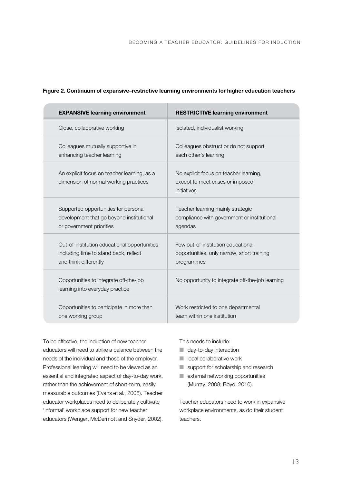| <b>EXPANSIVE learning environment</b>                                                | <b>RESTRICTIVE learning environment</b>                                                   |
|--------------------------------------------------------------------------------------|-------------------------------------------------------------------------------------------|
| Close, collaborative working                                                         | Isolated, individualist working                                                           |
| Colleagues mutually supportive in                                                    | Colleagues obstruct or do not support                                                     |
| enhancing teacher learning                                                           | each other's learning                                                                     |
| An explicit focus on teacher learning, as a<br>dimension of normal working practices | No explicit focus on teacher learning,<br>except to meet crises or imposed<br>initiatives |
| Supported opportunities for personal                                                 | Teacher learning mainly strategic                                                         |
| development that go beyond institutional                                             | compliance with government or institutional                                               |
| or government priorities                                                             | agendas                                                                                   |
| Out-of-institution educational opportunities,                                        | Few out-of-institution educational                                                        |
| including time to stand back, reflect                                                | opportunities, only narrow, short training                                                |
| and think differently                                                                | programmes                                                                                |
| Opportunities to integrate off-the-job<br>learning into everyday practice            | No opportunity to integrate off-the-job learning                                          |
| Opportunities to participate in more than                                            | Work restricted to one departmental                                                       |
| one working group                                                                    | team within one institution                                                               |

#### **Figure 2. Continuum of expansive–restrictive learning environments for higher education teachers**

To be effective, the induction of new teacher educators will need to strike a balance between the needs of the individual and those of the employer. Professional learning will need to be viewed as an essential and integrated aspect of day-to-day work, rather than the achievement of short-term, easily measurable outcomes (Evans et al., 2006). Teacher educator workplaces need to deliberately cultivate 'informal' workplace support for new teacher educators (Wenger, McDermott and Snyder, 2002).

This needs to include:

- day-to-day interaction
- local collaborative work
- support for scholarship and research
- external networking opportunities (Murray, 2008; Boyd, 2010).

Teacher educators need to work in expansive workplace environments, as do their student teachers.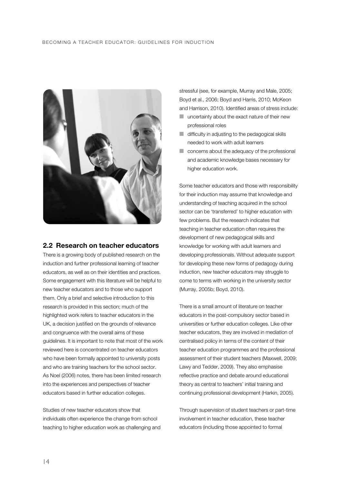#### BECOMING A TEACHER EDUCATOR: GUIDELINES FOR INDUCTION



#### **2.2 Research on teacher educators**

There is a growing body of published research on the induction and further professional learning of teacher educators, as well as on their identities and practices. Some engagement with this literature will be helpful to new teacher educators and to those who support them. Only a brief and selective introduction to this research is provided in this section; much of the highlighted work refers to teacher educators in the UK, a decision justified on the grounds of relevance and congruence with the overall aims of these guidelines. It is important to note that most of the work reviewed here is concentrated on teacher educators who have been formally appointed to university posts and who are training teachers for the school sector. As Noel (2006) notes, there has been limited research into the experiences and perspectives of teacher educators based in further education colleges.

Studies of new teacher educators show that individuals often experience the change from school teaching to higher education work as challenging and stressful (see, for example, Murray and Male, 2005; Boyd et al., 2006; Boyd and Harris, 2010; McKeon and Harrison, 2010). Identified areas of stress include:

- uncertainty about the exact nature of their new professional roles
- difficulty in adjusting to the pedagogical skills needed to work with adult learners
- concerns about the adequacy of the professional and academic knowledge bases necessary for higher education work.

Some teacher educators and those with responsibility for their induction may assume that knowledge and understanding of teaching acquired in the school sector can be 'transferred' to higher education with few problems. But the research indicates that teaching in teacher education often requires the development of new pedagogical skills and knowledge for working with adult learners and developing professionals. Without adequate support for developing these new forms of pedagogy during induction, new teacher educators may struggle to come to terms with working in the university sector (Murray, 2005b; Boyd, 2010).

There is a small amount of literature on teacher educators in the post-compulsory sector based in universities or further education colleges. Like other teacher educators, they are involved in mediation of centralised policy in terms of the content of their teacher education programmes and the professional assessment of their student teachers (Maxwell, 2009; Lawy and Tedder, 2009). They also emphasise reflective practice and debate around educational theory as central to teachers' initial training and continuing professional development (Harkin, 2005).

Through supervision of student teachers or part-time involvement in teacher education, these teacher educators (including those appointed to formal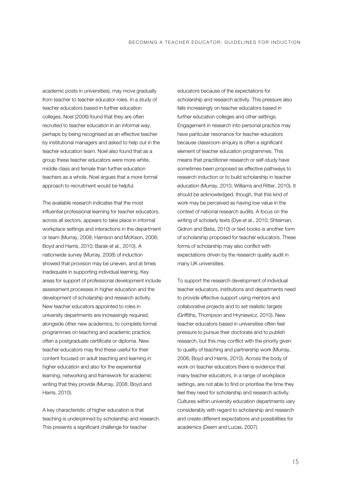academic posts in universities), may move gradually from teacher to teacher educator roles. In a study of teacher educators based in further education colleges, Noel (2006) found that they are often recruited to teacher education in an informal way, perhaps by being recognised as an effective teacher by institutional managers and asked to help out in the teacher education team. Noel also found that as a group these teacher educators were more white, middle class and female than further education teachers as a whole. Noel argues that a more formal approach to recruitment would be helpful.

The available research indicates that the most influential professional learning for teacher educators, across all sectors, appears to take place in informal workplace settings and interactions in the department or team (Murray, 2008; Harrison and McKeon, 2008; Boyd and Harris, 2010; Barak et al., 2010). A nationwide survey (Murray, 2008) of induction showed that provision may be uneven, and at times inadequate in supporting individual learning. Key areas for support of professional development include assessment processes in higher education and the development of scholarship and research activity. New teacher educators appointed to roles in university departments are increasingly required, alongside other new academics, to complete formal programmes on teaching and academic practice, often a postgraduate certificate or diploma. New teacher educators may find these useful for their content focused on adult teaching and learning in higher education and also for the experiential learning, networking and framework for academic writing that they provide (Murray, 2008; Boyd and Harris, 2010).

A key characteristic of higher education is that teaching is underpinned by scholarship and research. This presents a significant challenge for teacher

educators because of the expectations for scholarship and research activity. This pressure also falls increasingly on teacher educators based in further education colleges and other settings. Engagement in research into personal practice may have particular resonance for teacher educators because classroom enquiry is often a significant element of teacher education programmes. This means that practitioner research or self-study have sometimes been proposed as effective pathways to research induction or to build scholarship in teacher education (Murray, 2010; Williams and Ritter, 2010). It should be acknowledged, though, that this kind of work may be perceived as having low value in the context of national research audits. A focus on the writing of scholarly texts (Dye et al., 2010; Shteiman, Gidron and Batia, 2010) or text books is another form of scholarship proposed for teacher educators. These forms of scholarship may also conflict with expectations driven by the research quality audit in many UK universities.

To support the research development of individual teacher educators, institutions and departments need to provide effective support using mentors and collaborative projects and to set realistic targets (Griffiths, Thompson and Hryniewicz, 2010). New teacher educators based in universities often feel pressure to pursue their doctorate and to publish research, but this may conflict with the priority given to quality of teaching and partnership work (Murray, 2008; Boyd and Harris, 2010). Across the body of work on teacher educators there is evidence that many teacher educators, in a range of workplace settings, are not able to find or prioritise the time they feel they need for scholarship and research activity. Cultures within university education departments vary considerably with regard to scholarship and research and create different expectations and possibilities for academics (Deem and Lucas, 2007).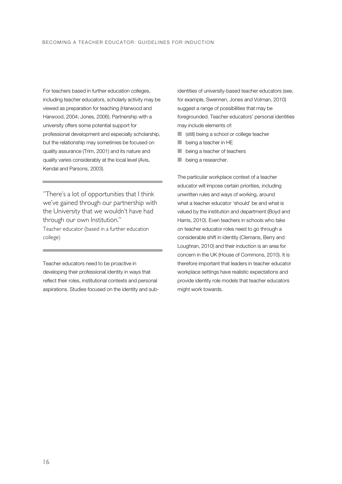For teachers based in further education colleges, including teacher educators, scholarly activity may be viewed as preparation for teaching (Harwood and Harwood, 2004; Jones, 2006). Partnership with a university offers some potential support for professional development and especially scholarship, but the relationship may sometimes be focused on quality assurance (Trim, 2001) and its nature and quality varies considerably at the local level (Avis, Kendal and Parsons, 2003).

"There's a lot of opportunities that I think we've gained through our partnership with the University that we wouldn't have had through our own Institution." Teacher educator (based in a further education college)

Teacher educators need to be proactive in developing their professional identity in ways that reflect their roles, institutional contexts and personal aspirations. Studies focused on the identity and sub-

identities of university-based teacher educators (see, for example, Swennen, Jones and Volman, 2010) suggest a range of possibilities that may be foregrounded. Teacher educators' personal identities may include elements of:

- (still) being a school or college teacher
- being a teacher in HE
- being a teacher of teachers
- being a researcher.

The particular workplace context of a teacher educator will impose certain priorities, including unwritten rules and ways of working, around what a teacher educator 'should' be and what is valued by the institution and department (Boyd and Harris, 2010). Even teachers in schools who take on teacher educator roles need to go through a considerable shift in identity (Clemans, Berry and Loughran, 2010) and their induction is an area for concern in the UK (House of Commons, 2010). It is therefore important that leaders in teacher educator workplace settings have realistic expectations and provide identity role models that teacher educators might work towards.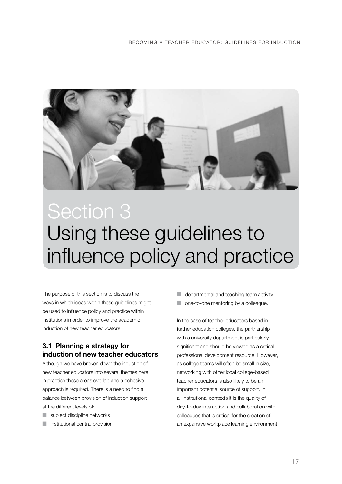

### Using these guidelines to influence policy and practice Section 3

The purpose of this section is to discuss the ways in which ideas within these guidelines might be used to influence policy and practice within institutions in order to improve the academic induction of new teacher educators.

#### **3.1 Planning a strategy for induction of new teacher educators**

Although we have broken down the induction of new teacher educators into several themes here, in practice these areas overlap and a cohesive approach is required. There is a need to find a balance between provision of induction support at the different levels of:

- subject discipline networks
- **■** institutional central provision

 $\blacksquare$  departmental and teaching team activity

■ one-to-one mentoring by a colleague.

In the case of teacher educators based in further education colleges, the partnership with a university department is particularly significant and should be viewed as a critical professional development resource. However, as college teams will often be small in size, networking with other local college-based teacher educators is also likely to be an important potential source of support. In all institutional contexts it is the quality of day-to-day interaction and collaboration with colleagues that is critical for the creation of an expansive workplace learning environment.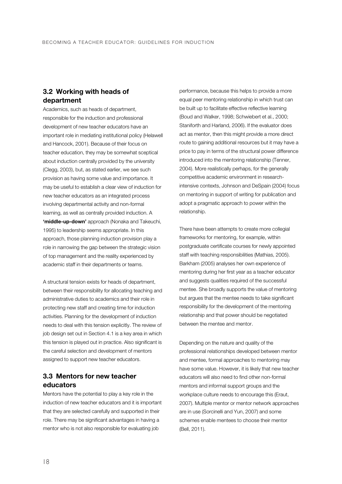#### **3.2 Working with heads of department**

Academics, such as heads of department, responsible for the induction and professional development of new teacher educators have an important role in mediating institutional policy (Helawell and Hancock, 2001). Because of their focus on teacher education, they may be somewhat sceptical about induction centrally provided by the university (Clegg, 2003), but, as stated earlier, we see such provision as having some value and importance. It may be useful to establish a clear view of induction for new teacher educators as an integrated process involving departmental activity and non-formal learning, as well as centrally provided induction. A **'middle-up-down'** approach (Nonaka and Takeuchi, 1995) to leadership seems appropriate. In this approach, those planning induction provision play a role in narrowing the gap between the strategic vision of top management and the reality experienced by academic staff in their departments or teams.

A structural tension exists for heads of department, between their responsibility for allocating teaching and administrative duties to academics and their role in protecting new staff and creating time for induction activities. Planning for the development of induction needs to deal with this tension explicitly. The review of job design set out in Section 4.1 is a key area in which this tension is played out in practice. Also significant is the careful selection and development of mentors assigned to support new teacher educators.

#### **3.3 Mentors for new teacher educators**

Mentors have the potential to play a key role in the induction of new teacher educators and it is important that they are selected carefully and supported in their role. There may be significant advantages in having a mentor who is not also responsible for evaluating job

performance, because this helps to provide a more equal peer mentoring relationship in which trust can be built up to facilitate effective reflective learning (Boud and Walker, 1998; Schwiebert et al., 2000; Staniforth and Harland, 2006). If the evaluator does act as mentor, then this might provide a more direct route to gaining additional resources but it may have a price to pay in terms of the structural power difference introduced into the mentoring relationship (Tenner, 2004). More realistically perhaps, for the generally competitive academic environment in researchintensive contexts, Johnson and DeSpain (2004) focus on mentoring in support of writing for publication and adopt a pragmatic approach to power within the relationship.

There have been attempts to create more collegial frameworks for mentoring, for example, within postgraduate certificate courses for newly appointed staff with teaching responsibilities (Mathias, 2005). Barkham (2005) analyses her own experience of mentoring during her first year as a teacher educator and suggests qualities required of the successful mentee. She broadly supports the value of mentoring but argues that the mentee needs to take significant responsibility for the development of the mentoring relationship and that power should be negotiated between the mentee and mentor.

Depending on the nature and quality of the professional relationships developed between mentor and mentee, formal approaches to mentoring may have some value. However, it is likely that new teacher educators will also need to find other non-formal mentors and informal support groups and the workplace culture needs to encourage this (Eraut, 2007). Multiple mentor or mentor network approaches are in use (Sorcinelli and Yun, 2007) and some schemes enable mentees to choose their mentor (Bell, 2011).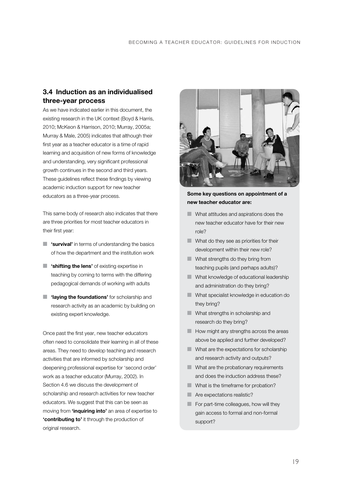#### **3.4 Induction as an individualised three-year process**

As we have indicated earlier in this document, the existing research in the UK context (Boyd & Harris, 2010; McKeon & Harrison, 2010; Murray, 2005a; Murray & Male, 2005) indicates that although their first year as a teacher educator is a time of rapid learning and acquisition of new forms of knowledge and understanding, very significant professional growth continues in the second and third years. These guidelines reflect these findings by viewing academic induction support for new teacher educators as a three-year process.

This same body of research also indicates that there are three priorities for most teacher educators in their first year:

- **'survival'** in terms of understanding the basics of how the department and the institution work
- **'shifting the lens'** of existing expertise in teaching by coming to terms with the differing pedagogical demands of working with adults
- **'laying the foundations'** for scholarship and research activity as an academic by building on existing expert knowledge.

Once past the first year, new teacher educators often need to consolidate their learning in all of these areas. They need to develop teaching and research activities that are informed by scholarship and deepening professional expertise for 'second order' work as a teacher educator (Murray, 2002). In Section 4.6 we discuss the development of scholarship and research activities for new teacher educators. We suggest that this can be seen as moving from **'inquiring into'** an area of expertise to **'contributing to'** it through the production of original research.



#### **Some key questions on appointment of a new teacher educator are:**

- What attitudes and aspirations does the new teacher educator have for their new role?
- What do they see as priorities for their development within their new role?
- What strengths do they bring from teaching pupils (and perhaps adults)?
- What knowledge of educational leadership and administration do they bring?
- What specialist knowledge in education do they bring?
- What strengths in scholarship and research do they bring?
- How might any strengths across the areas above be applied and further developed?
- What are the expectations for scholarship and research activity and outputs?
- What are the probationary requirements and does the induction address these?
- What is the timeframe for probation?
- Are expectations realistic?
- For part-time colleagues, how will they gain access to formal and non-formal support?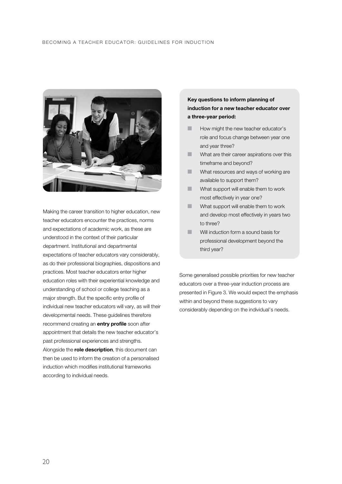#### BECOMING A TEACHER EDUCATOR: GUIDELINES FOR INDUCTION



Making the career transition to higher education, new teacher educators encounter the practices, norms and expectations of academic work, as these are understood in the context of their particular department. Institutional and departmental expectations of teacher educators vary considerably, as do their professional biographies, dispositions and practices. Most teacher educators enter higher education roles with their experiential knowledge and understanding of school or college teaching as a major strength. But the specific entry profile of individual new teacher educators will vary, as will their developmental needs. These guidelines therefore recommend creating an **entry profile** soon after appointment that details the new teacher educator's past professional experiences and strengths. Alongside the **role description**, this document can then be used to inform the creation of a personalised induction which modifies institutional frameworks according to individual needs.

#### **Key questions to inform planning of induction for a new teacher educator over a three-year period:**

- **E** How might the new teacher educator's role and focus change between year one and year three?
- What are their career aspirations over this timeframe and beyond?
- What resources and ways of working are available to support them?
- What support will enable them to work most effectively in year one?
- What support will enable them to work and develop most effectively in years two to three?
- **Will induction form a sound basis for** professional development beyond the third year?

Some generalised possible priorities for new teacher educators over a three-year induction process are presented in Figure 3. We would expect the emphasis within and beyond these suggestions to vary considerably depending on the individual's needs.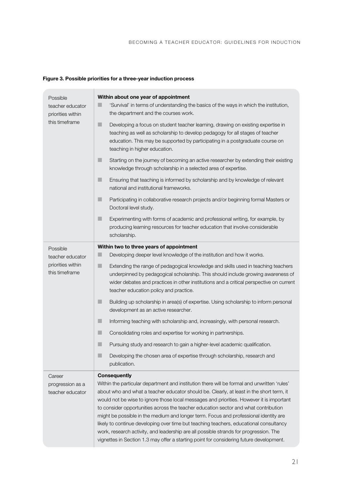#### **Figure 3. Possible priorities for a three-year induction process**

| Possible<br>teacher educator<br>priorities within<br>this timeframe | Within about one year of appointment<br>'Survival' in terms of understanding the basics of the ways in which the institution,<br>ш<br>the department and the courses work.                                                                                                                                                                                                                                                                                                                                                                                                                                                                                                                                                                                              |
|---------------------------------------------------------------------|-------------------------------------------------------------------------------------------------------------------------------------------------------------------------------------------------------------------------------------------------------------------------------------------------------------------------------------------------------------------------------------------------------------------------------------------------------------------------------------------------------------------------------------------------------------------------------------------------------------------------------------------------------------------------------------------------------------------------------------------------------------------------|
|                                                                     | ٠<br>Developing a focus on student teacher learning, drawing on existing expertise in<br>teaching as well as scholarship to develop pedagogy for all stages of teacher<br>education. This may be supported by participating in a postgraduate course on<br>teaching in higher education.                                                                                                                                                                                                                                                                                                                                                                                                                                                                                |
|                                                                     | Starting on the journey of becoming an active researcher by extending their existing<br>knowledge through scholarship in a selected area of expertise.                                                                                                                                                                                                                                                                                                                                                                                                                                                                                                                                                                                                                  |
|                                                                     | ٠<br>Ensuring that teaching is informed by scholarship and by knowledge of relevant<br>national and institutional frameworks.                                                                                                                                                                                                                                                                                                                                                                                                                                                                                                                                                                                                                                           |
|                                                                     | ш<br>Participating in collaborative research projects and/or beginning formal Masters or<br>Doctoral level study.                                                                                                                                                                                                                                                                                                                                                                                                                                                                                                                                                                                                                                                       |
|                                                                     | ٠<br>Experimenting with forms of academic and professional writing, for example, by<br>producing learning resources for teacher education that involve considerable<br>scholarship.                                                                                                                                                                                                                                                                                                                                                                                                                                                                                                                                                                                     |
| Possible                                                            | Within two to three years of appointment                                                                                                                                                                                                                                                                                                                                                                                                                                                                                                                                                                                                                                                                                                                                |
| teacher educator<br>priorities within<br>this timeframe             | Developing deeper level knowledge of the institution and how it works.<br>٠                                                                                                                                                                                                                                                                                                                                                                                                                                                                                                                                                                                                                                                                                             |
|                                                                     | ٠<br>Extending the range of pedagogical knowledge and skills used in teaching teachers<br>underpinned by pedagogical scholarship. This should include growing awareness of<br>wider debates and practices in other institutions and a critical perspective on current<br>teacher education policy and practice.                                                                                                                                                                                                                                                                                                                                                                                                                                                         |
|                                                                     | Building up scholarship in area(s) of expertise. Using scholarship to inform personal<br>development as an active researcher.                                                                                                                                                                                                                                                                                                                                                                                                                                                                                                                                                                                                                                           |
|                                                                     | ٠<br>Informing teaching with scholarship and, increasingly, with personal research.                                                                                                                                                                                                                                                                                                                                                                                                                                                                                                                                                                                                                                                                                     |
|                                                                     | п<br>Consolidating roles and expertise for working in partnerships.                                                                                                                                                                                                                                                                                                                                                                                                                                                                                                                                                                                                                                                                                                     |
|                                                                     | Pursuing study and research to gain a higher-level academic qualification.<br>ш                                                                                                                                                                                                                                                                                                                                                                                                                                                                                                                                                                                                                                                                                         |
|                                                                     | ٠<br>Developing the chosen area of expertise through scholarship, research and<br>publication.                                                                                                                                                                                                                                                                                                                                                                                                                                                                                                                                                                                                                                                                          |
| Career<br>progression as a<br>teacher educator                      | <b>Consequently</b><br>Within the particular department and institution there will be formal and unwritten 'rules'<br>about who and what a teacher educator should be. Clearly, at least in the short term, it<br>would not be wise to ignore those local messages and priorities. However it is important<br>to consider opportunities across the teacher education sector and what contribution<br>might be possible in the medium and longer term. Focus and professional identity are<br>likely to continue developing over time but teaching teachers, educational consultancy<br>work, research activity, and leadership are all possible strands for progression. The<br>vignettes in Section 1.3 may offer a starting point for considering future development. |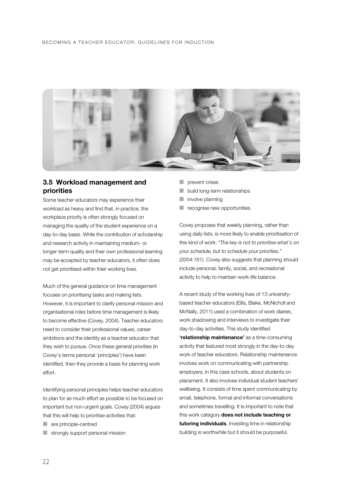#### BECOMING A TEACHER EDUCATOR: GUIDELINES FOR INDUCTION



#### **3.5 Workload management and priorities**

Some teacher educators may experience their workload as heavy and find that, in practice, the workplace priority is often strongly focused on managing the quality of the student experience on a day-to-day basis. While the contribution of scholarship and research activity in maintaining medium- or longer-term quality and their own professional learning may be accepted by teacher educators, it often does not get prioritised within their working lives.

Much of the general guidance on time management focuses on prioritising tasks and making lists. However, it is important to clarify personal mission and organisational roles before time management is likely to become effective (Covey, 2004). Teacher educators need to consider their professional values, career ambitions and the identity as a teacher educator that they wish to pursue. Once these general priorities (in Covey's terms personal 'principles') have been identified, then they provide a basis for planning work effort.

Identifying personal principles helps teacher educators to plan for as much effort as possible to be focused on important but non-urgent goals. Covey (2004) argues that this will help to prioritise activities that:

- are principle-centred
- strongly support personal mission
- prevent crises
- build long-term relationships
- involve planning
- recognise new opportunities.

Covey proposes that weekly planning, rather than using daily lists, is more likely to enable prioritisation of this kind of work: *"The key is not to prioritise what's on your schedule, but to schedule your priorities." (2004:161)*. Covey also suggests that planning should include personal, family, social, and recreational activity to help to maintain work-life balance.

A recent study of the working lives of 13 universitybased teacher educators (Ellis, Blake, McNicholl and McNally, 2011) used a combination of work diaries, work shadowing and interviews to investigate their day-to-day activities. This study identified **'relationship maintenance'** as a time-consuming activity that featured most strongly in the day-to-day work of teacher educators. Relationship maintenance involves work on communicating with partnership employers, in this case schools, about students on placement. It also involves individual student teachers' wellbeing. It consists of time spent communicating by email, telephone, formal and informal conversations and sometimes travelling. It is important to note that this work category **does not include teaching or tutoring individuals**. Investing time in relationship building is worthwhile but it should be purposeful.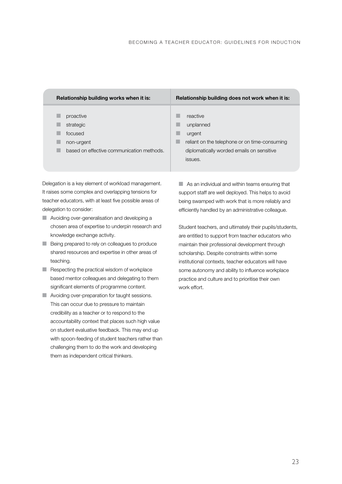| Relationship building works when it is:                                                      | Relationship building does not work when it is:                                                                                          |
|----------------------------------------------------------------------------------------------|------------------------------------------------------------------------------------------------------------------------------------------|
| proactive<br>strategic<br>focused<br>non-urgent<br>based on effective communication methods. | reactive<br>unplanned<br>urgent<br>reliant on the telephone or on time-consuming<br>diplomatically worded emails on sensitive<br>issues. |

Delegation is a key element of workload management. It raises some complex and overlapping tensions for teacher educators, with at least five possible areas of delegation to consider:

- Avoiding over-generalisation and developing a chosen area of expertise to underpin research and knowledge exchange activity.
- Being prepared to rely on colleagues to produce shared resources and expertise in other areas of teaching.
- Respecting the practical wisdom of workplace based mentor colleagues and delegating to them significant elements of programme content.
- Avoiding over-preparation for taught sessions. This can occur due to pressure to maintain credibility as a teacher or to respond to the accountability context that places such high value on student evaluative feedback. This may end up with spoon-feeding of student teachers rather than challenging them to do the work and developing them as independent critical thinkers.

■ As an individual and within teams ensuring that support staff are well deployed. This helps to avoid being swamped with work that is more reliably and efficiently handled by an administrative colleague.

Student teachers, and ultimately their pupils/students, are entitled to support from teacher educators who maintain their professional development through scholarship. Despite constraints within some institutional contexts, teacher educators will have some autonomy and ability to influence workplace practice and culture and to prioritise their own work effort.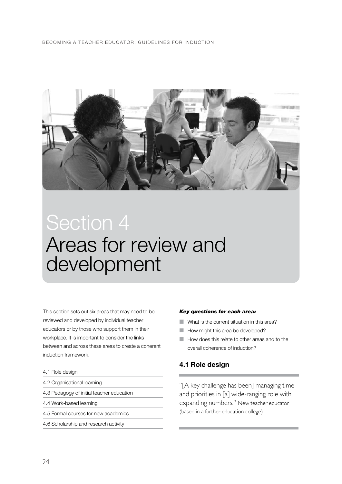#### BECOMING A TEACHER EDUCATOR: GUIDELINES FOR INDUCTION



### Areas for review and development Section 4

This section sets out six areas that may need to be reviewed and developed by individual teacher educators or by those who support them in their workplace. It is important to consider the links between and across these areas to create a coherent induction framework.

- 4.1 Role design
- 4.2 Organisational learning
- 4.3 Pedagogy of initial teacher education
- 4.4 Work-based learning
- 4.5 Formal courses for new academics
- 4.6 Scholarship and research activity

#### *Key questions for each area:*

- What is the current situation in this area?
- How might this area be developed?
- How does this relate to other areas and to the overall coherence of induction?

#### **4.1 Role design**

"[A key challenge has been] managing time and priorities in [a] wide-ranging role with expanding numbers." New teacher educator (based in a further education college)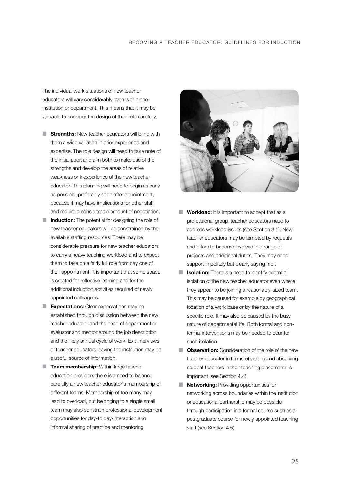The individual work situations of new teacher educators will vary considerably even within one institution or department. This means that it may be valuable to consider the design of their role carefully.

- **Strengths:** New teacher educators will bring with them a wide variation in prior experience and expertise. The role design will need to take note of the initial audit and aim both to make use of the strengths and develop the areas of relative weakness or inexperience of the new teacher educator. This planning will need to begin as early as possible, preferably soon after appointment, because it may have implications for other staff and require a considerable amount of negotiation.
- **Induction:** The potential for designing the role of new teacher educators will be constrained by the available staffing resources. There may be considerable pressure for new teacher educators to carry a heavy teaching workload and to expect them to take on a fairly full role from day one of their appointment. It is important that some space is created for reflective learning and for the additional induction activities required of newly appointed colleagues.
- **Expectations:** Clear expectations may be established through discussion between the new teacher educator and the head of department or evaluator and mentor around the job description and the likely annual cycle of work. Exit interviews of teacher educators leaving the institution may be a useful source of information.
- **Team membership:** Within large teacher education providers there is a need to balance carefully a new teacher educator's membership of different teams. Membership of too many may lead to overload, but belonging to a single small team may also constrain professional development opportunities for day-to day-interaction and informal sharing of practice and mentoring.



- **Workload:** It is important to accept that as a professional group, teacher educators need to address workload issues (see Section 3.5). New teacher educators may be tempted by requests and offers to become involved in a range of projects and additional duties. They may need support in politely but clearly saying 'no'.
- **Isolation:** There is a need to identify potential isolation of the new teacher educator even where they appear to be joining a reasonably-sized team. This may be caused for example by geographical location of a work base or by the nature of a specific role. It may also be caused by the busy nature of departmental life. Both formal and nonformal interventions may be needed to counter such isolation.
- **Observation:** Consideration of the role of the new teacher educator in terms of visiting and observing student teachers in their teaching placements is important (see Section 4.4).
- **Networking: Providing opportunities for** networking across boundaries within the institution or educational partnership may be possible through participation in a formal course such as a postgraduate course for newly appointed teaching staff (see Section 4.5).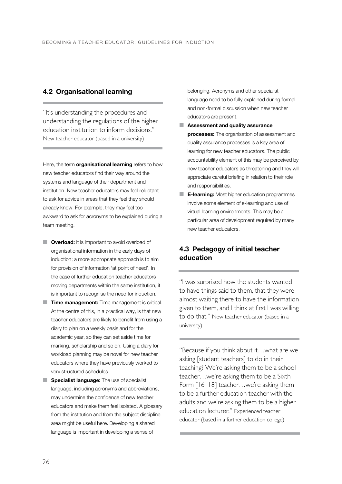#### **4.2 Organisational learning**

"It's understanding the procedures and understanding the regulations of the higher education institution to inform decisions." New teacher educator (based in a university)

Here, the term **organisational learning** refers to how new teacher educators find their way around the systems and language of their department and institution. New teacher educators may feel reluctant to ask for advice in areas that they feel they should already know. For example, they may feel too awkward to ask for acronyms to be explained during a team meeting.

- **Diverload:** It is important to avoid overload of organisational information in the early days of induction; a more appropriate approach is to aim for provision of information 'at point of need'. In the case of further education teacher educators moving departments within the same institution, it is important to recognise the need for induction.
- **Time management:** Time management is critical. At the centre of this, in a practical way, is that new teacher educators are likely to benefit from using a diary to plan on a weekly basis and for the academic year, so they can set aside time for marking, scholarship and so on. Using a diary for workload planning may be novel for new teacher educators where they have previously worked to very structured schedules.
- **Specialist language:** The use of specialist language, including acronyms and abbreviations, may undermine the confidence of new teacher educators and make them feel isolated. A glossary from the institution and from the subject discipline area might be useful here. Developing a shared language is important in developing a sense of

belonging. Acronyms and other specialist language need to be fully explained during formal and non-formal discussion when new teacher educators are present.

- **Assessment and quality assurance processes:** The organisation of assessment and quality assurance processes is a key area of learning for new teacher educators. The public accountability element of this may be perceived by new teacher educators as threatening and they will appreciate careful briefing in relation to their role and responsibilities.
- **E-learning:** Most higher education programmes involve some element of e-learning and use of virtual learning environments. This may be a particular area of development required by many new teacher educators.

#### **4.3 Pedagogy of initial teacher education**

"I was surprised how the students wanted to have things said to them, that they were almost waiting there to have the information given to them, and I think at first I was willing to do that." New teacher educator (based in a university)

"Because if you think about it…what are we asking [student teachers] to do in their teaching? We're asking them to be a school teacher…we're asking them to be a Sixth Form  $[16-18]$  teacher...we're asking them to be a further education teacher with the adults and we're asking them to be a higher education lecturer." Experienced teacher educator (based in a further education college)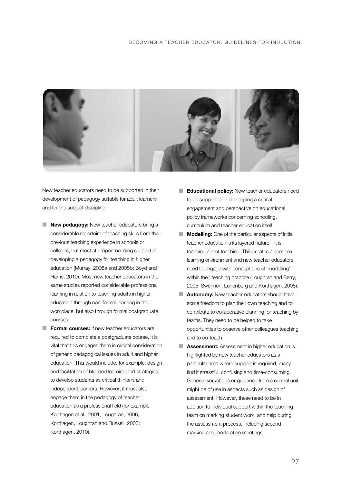

New teacher educators need to be supported in their development of pedagogy suitable for adult learners and for the subject discipline.

- **New pedagogy:** New teacher educators bring a considerable repertoire of teaching skills from their previous teaching experience in schools or colleges, but most still report needing support in developing a pedagogy for teaching in higher education (Murray, 2005a and 2005b; Boyd and Harris, 2010). Most new teacher educators in the same studies reported considerable professional learning in relation to teaching adults in higher education through non-formal learning in the workplace, but also through formal postgraduate courses.
- **Formal courses:** If new teacher educators are required to complete a postgraduate course, it is vital that this engages them in critical consideration of generic pedagogical issues in adult and higher education. This would include, for example, design and facilitation of blended learning and strategies to develop students as critical thinkers and independent learners. However, it must also engage them in the pedagogy of teacher education as a professional field (for example Korthagen et al., 2001; Loughran, 2006; Korthagen, Loughran and Russell, 2006; Korthagen, 2010).
- **Educational policy:** New teacher educators need to be supported in developing a critical engagement and perspective on educational policy frameworks concerning schooling, curriculum and teacher education itself.
- **Modelling:** One of the particular aspects of initial teacher education is its layered nature – it is teaching about teaching. This creates a complex learning environment and new teacher educators need to engage with conceptions of 'modelling' within their teaching practice (Loughran and Berry, 2005; Swennen, Lunenberg and Korthagen, 2008).
- **Autonomy:** New teacher educators should have some freedom to plan their own teaching and to contribute to collaborative planning for teaching by teams. They need to be helped to take opportunities to observe other colleagues teaching and to co-teach.
- **Assessment:** Assessment in higher education is highlighted by new teacher educators as a particular area where support is required; many find it stressful, confusing and time-consuming. Generic workshops or guidance from a central unit might be of use in aspects such as design of assessment. However, these need to be in addition to individual support within the teaching team on marking student work, and help during the assessment process, including second marking and moderation meetings.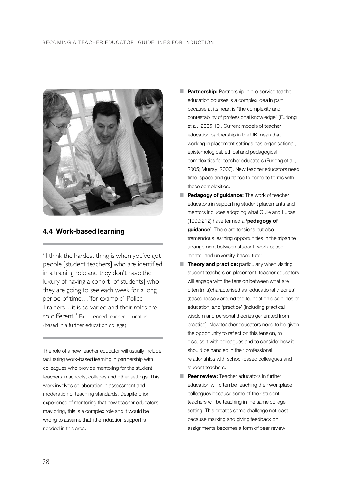#### BECOMING A TEACHER EDUCATOR: GUIDELINES FOR INDUCTION



#### **4.4 Work-based learning**

"I think the hardest thing is when you've got people [student teachers] who are identified in a training role and they don't have the luxury of having a cohort [of students] who they are going to see each week for a long period of time…[for example] Police Trainers…it is so varied and their roles are so different." Experienced teacher educator (based in a further education college)

The role of a new teacher educator will usually include facilitating work-based learning in partnership with colleagues who provide mentoring for the student teachers in schools, colleges and other settings. This work involves collaboration in assessment and moderation of teaching standards. Despite prior experience of mentoring that new teacher educators may bring, this is a complex role and it would be wrong to assume that little induction support is needed in this area.

- **Partnership:** Partnership in pre-service teacher education courses is a complex idea in part because at its heart is "the complexity and contestability of professional knowledge" (Furlong et al., 2005:19). Current models of teacher education partnership in the UK mean that working in placement settings has organisational, epistemological, ethical and pedagogical complexities for teacher educators (Furlong et al., 2005; Murray, 2007). New teacher educators need time, space and guidance to come to terms with these complexities.
- **Pedagogy of guidance:** The work of teacher educators in supporting student placements and mentors includes adopting what Guile and Lucas (1999:212) have termed a **'pedagogy of guidance'**. There are tensions but also tremendous learning opportunities in the tripartite arrangement between student, work-based mentor and university-based tutor.
- **Theory and practice:** particularly when visiting student teachers on placement, teacher educators will engage with the tension between what are often (mis)characterised as 'educational theories' (based loosely around the foundation disciplines of education) and 'practice' (including practical wisdom and personal theories generated from practice). New teacher educators need to be given the opportunity to reflect on this tension, to discuss it with colleagues and to consider how it should be handled in their professional relationships with school-based colleagues and student teachers.
- **Peer review:** Teacher educators in further education will often be teaching their workplace colleagues because some of their student teachers will be teaching in the same college setting. This creates some challenge not least because marking and giving feedback on assignments becomes a form of peer review.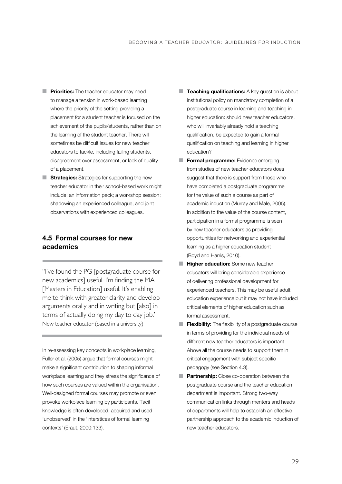- **Priorities:** The teacher educator may need to manage a tension in work-based learning where the priority of the setting providing a placement for a student teacher is focused on the achievement of the pupils/students, rather than on the learning of the student teacher. There will sometimes be difficult issues for new teacher educators to tackle, including failing students, disagreement over assessment, or lack of quality of a placement.
- **Strategies:** Strategies for supporting the new teacher educator in their school-based work might include: an information pack; a workshop session; shadowing an experienced colleague; and joint observations with experienced colleagues.

#### **4.5 Formal courses for new academics**

"I've found the PG [postgraduate course for new academics] useful. I'm finding the MA [Masters in Education] useful. It's enabling me to think with greater clarity and develop arguments orally and in writing but [also] in terms of actually doing my day to day job." New teacher educator (based in a university)

In re-assessing key concepts in workplace learning, Fuller et al. (2005) argue that formal courses might make a significant contribution to shaping informal workplace learning and they stress the significance of how such courses are valued within the organisation. Well-designed formal courses may promote or even provoke workplace learning by participants. Tacit knowledge is often developed, acquired and used 'unobserved' in the 'interstices of formal learning contexts' (Eraut, 2000:133).

- **Teaching qualifications:** A key question is about institutional policy on mandatory completion of a postgraduate course in learning and teaching in higher education: should new teacher educators, who will invariably already hold a teaching qualification, be expected to gain a formal qualification on teaching and learning in higher education?
- **Formal programme:** Evidence emerging from studies of new teacher educators does suggest that there is support from those who have completed a postgraduate programme for the value of such a course as part of academic induction (Murray and Male, 2005). In addition to the value of the course content, participation in a formal programme is seen by new teacher educators as providing opportunities for networking and experiential learning as a higher education student (Boyd and Harris, 2010).
- **Higher education:** Some new teacher educators will bring considerable experience of delivering professional development for experienced teachers. This may be useful adult education experience but it may not have included critical elements of higher education such as formal assessment.
- **Flexibility:** The flexibility of a postgraduate course in terms of providing for the individual needs of different new teacher educators is important. Above all the course needs to support them in critical engagement with subject specific pedagogy (see Section 4.3).
- **Partnership:** Close co-operation between the postgraduate course and the teacher education department is important. Strong two-way communication links through mentors and heads of departments will help to establish an effective partnership approach to the academic induction of new teacher educators.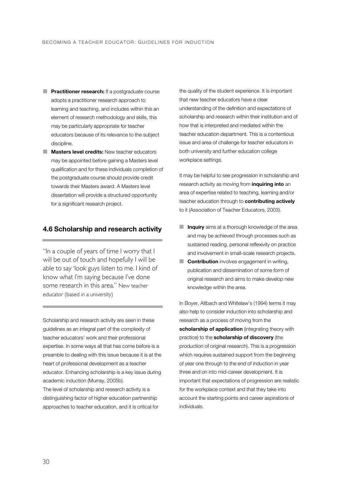- **F** Practitioner research: If a postgraduate course adopts a practitioner research approach to learning and teaching, and includes within this an element of research methodology and skills, this may be particularly appropriate for teacher educators because of its relevance to the subject discipline.
- **Masters level credits:** New teacher educators may be appointed before gaining a Masters level qualification and for these individuals completion of the postgraduate course should provide credit towards their Masters award. A Masters level dissertation will provide a structured opportunity for a significant research project.

#### **4.6 Scholarship and research activity**

"In a couple of years of time I worry that I will be out of touch and hopefully I will be able to say 'look guys listen to me. I kind of know what I'm saying because I've done some research in this area." New teacher educator (based in a university)

Scholarship and research activity are seen in these guidelines as an integral part of the complexity of teacher educators' work and their professional expertise. In some ways all that has come before is a preamble to dealing with this issue because it is at the heart of professional development as a teacher educator. Enhancing scholarship is a key issue during academic induction (Murray, 2005b).

The level of scholarship and research activity is a distinguishing factor of higher education partnership approaches to teacher education, and it is critical for

the quality of the student experience. It is important that new teacher educators have a clear understanding of the definition and expectations of scholarship and research within their institution and of how that is interpreted and mediated within the teacher education department. This is a contentious issue and area of challenge for teacher educators in both university and further education college workplace settings.

It may be helpful to see progression in scholarship and research activity as moving from **inquiring into** an area of expertise related to teaching, learning and/or teacher education through to **contributing actively** to it (Association of Teacher Educators, 2003).

- **Inquiry** aims at a thorough knowledge of the area and may be achieved through processes such as sustained reading, personal reflexivity on practice and involvement in small-scale research projects.
- **Contribution** involves engagement in writing, publication and dissemination of some form of original research and aims to make develop new knowledge within the area.

In Boyer, Altbach and Whitelaw's (1994) terms it may also help to consider induction into scholarship and research as a process of moving from the scholarship of application (integrating theory with practice) to the **scholarship of discovery** (the production of original research). This is a progression which requires sustained support from the beginning of year one through to the end of induction in year three and on into mid-career development. It is important that expectations of progression are realistic for the workplace context and that they take into account the starting points and career aspirations of individuals.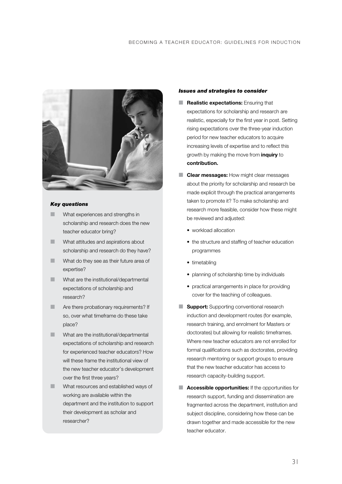

#### *Key questions*

- What experiences and strengths in scholarship and research does the new teacher educator bring?
- What attitudes and aspirations about scholarship and research do they have?
- What do they see as their future area of expertise?
- What are the institutional/departmental expectations of scholarship and research?
- **Are there probationary requirements? If** so, over what timeframe do these take place?
- **What are the institutional/departmental** expectations of scholarship and research for experienced teacher educators? How will these frame the institutional view of the new teacher educator's development over the first three years?
- What resources and established ways of working are available within the department and the institution to support their development as scholar and researcher?

#### *Issues and strategies to consider*

- **Realistic expectations:** Ensuring that expectations for scholarship and research are realistic, especially for the first year in post. Setting rising expectations over the three-year induction period for new teacher educators to acquire increasing levels of expertise and to reflect this growth by making the move from **inquiry** to **contribution.**
- **Clear messages:** How might clear messages about the priority for scholarship and research be made explicit through the practical arrangements taken to promote it? To make scholarship and research more feasible, consider how these might be reviewed and adjusted:
	- workload allocation
	- the structure and staffing of teacher education programmes
	- timetabling
	- planning of scholarship time by individuals
	- practical arrangements in place for providing cover for the teaching of colleagues.
- **Support:** Supporting conventional research induction and development routes (for example, research training, and enrolment for Masters or doctorates) but allowing for realistic timeframes. Where new teacher educators are not enrolled for formal qualifications such as doctorates, providing research mentoring or support groups to ensure that the new teacher educator has access to research capacity-building support.
- **Accessible opportunities:** If the opportunities for research support, funding and dissemination are fragmented across the department, institution and subject discipline, considering how these can be drawn together and made accessible for the new teacher educator.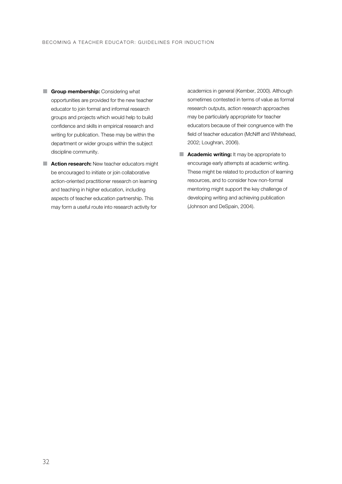- **E** Group membership: Considering what opportunities are provided for the new teacher educator to join formal and informal research groups and projects which would help to build confidence and skills in empirical research and writing for publication. These may be within the department or wider groups within the subject discipline community.
- **E** Action research: New teacher educators might be encouraged to initiate or join collaborative action-oriented practitioner research on learning and teaching in higher education, including aspects of teacher education partnership. This may form a useful route into research activity for

academics in general (Kember, 2000). Although sometimes contested in terms of value as formal research outputs, action research approaches may be particularly appropriate for teacher educators because of their congruence with the field of teacher education (McNiff and Whitehead, 2002; Loughran, 2006).

■ **Academic writing:** It may be appropriate to encourage early attempts at academic writing. These might be related to production of learning resources, and to consider how non-formal mentoring might support the key challenge of developing writing and achieving publication (Johnson and DeSpain, 2004).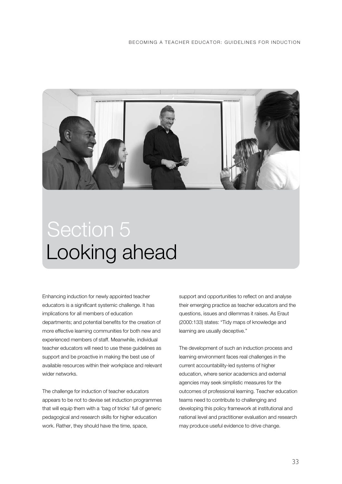

### Looking ahead Section 5

Enhancing induction for newly appointed teacher educators is a significant systemic challenge. It has implications for all members of education departments; and potential benefits for the creation of more effective learning communities for both new and experienced members of staff. Meanwhile, individual teacher educators will need to use these guidelines as support and be proactive in making the best use of available resources within their workplace and relevant wider networks.

The challenge for induction of teacher educators appears to be not to devise set induction programmes that will equip them with a 'bag of tricks' full of generic pedagogical and research skills for higher education work. Rather, they should have the time, space,

support and opportunities to reflect on and analyse their emerging practice as teacher educators and the questions, issues and dilemmas it raises. As Eraut (2000:133) states: "Tidy maps of knowledge and learning are usually deceptive."

The development of such an induction process and learning environment faces real challenges in the current accountability-led systems of higher education, where senior academics and external agencies may seek simplistic measures for the outcomes of professional learning. Teacher education teams need to contribute to challenging and developing this policy framework at institutional and national level and practitioner evaluation and research may produce useful evidence to drive change.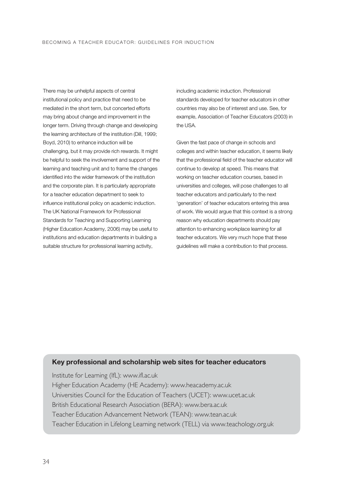There may be unhelpful aspects of central institutional policy and practice that need to be mediated in the short term, but concerted efforts may bring about change and improvement in the longer term. Driving through change and developing the learning architecture of the institution (Dill, 1999; Boyd, 2010) to enhance induction will be challenging, but it may provide rich rewards. It might be helpful to seek the involvement and support of the learning and teaching unit and to frame the changes identified into the wider framework of the institution and the corporate plan. It is particularly appropriate for a teacher education department to seek to influence institutional policy on academic induction. The UK National Framework for Professional Standards for Teaching and Supporting Learning (Higher Education Academy, 2006) may be useful to institutions and education departments in building a suitable structure for professional learning activity,

including academic induction. Professional standards developed for teacher educators in other countries may also be of interest and use. See, for example, Association of Teacher Educators (2003) in the USA.

Given the fast pace of change in schools and colleges and within teacher education, it seems likely that the professional field of the teacher educator will continue to develop at speed. This means that working on teacher education courses, based in universities and colleges, will pose challenges to all teacher educators and particularly to the next 'generation' of teacher educators entering this area of work. We would argue that this context is a strong reason why education departments should pay attention to enhancing workplace learning for all teacher educators. We very much hope that these guidelines will make a contribution to that process.

#### **Key professional and scholarship web sites for teacher educators**

Institute for Learning (IfL): www.ifl.ac.uk Higher Education Academy (HE Academy): www.heacademy.ac.uk Universities Council for the Education of Teachers (UCET): www.ucet.ac.uk British Educational Research Association (BERA): www.bera.ac.uk Teacher Education Advancement Network (TEAN): www.tean.ac.uk Teacher Education in Lifelong Learning network (TELL) via www.teachology.org.uk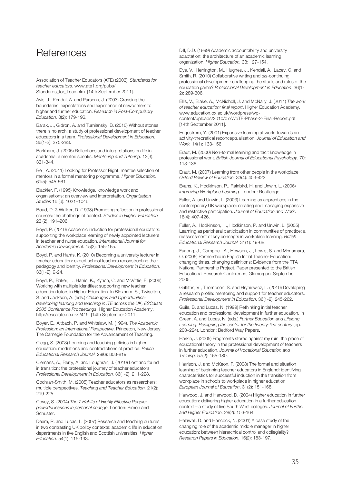#### **References**

Association of Teacher Educators (ATE) (2003). *Standards for teacher educators.* www.ate1.org/pubs/ Standards\_for\_Teac.cfm [14th September 2011].

Avis, J., Kendal, A. and Parsons, J. (2003) Crossing the boundaries: expectations and experience of newcomers to higher and further education. *Research in Post-Compulsory Education.* 8(2): 179-196.

Barak, J., Gidron, A. and Turniansky, B. (2010) Without stones there is no arch: a study of professional development of teacher educators in a team. *Professional Development in Education.* 36(1-2): 275-283.

Barkham, J. (2005) Reflections and interpretations on life in academia: a mentee speaks. *Mentoring and Tutoring.* 13(3): 331-344.

Bell, A. (2011) Looking for Professor Right: mentee selection of mentors in a formal mentoring programme. *Higher Education.* 61(5): 545-561.

Blackler, F. (1995) Knowledge, knowledge work and organisations: an overview and interpretation. *Organization Studies* 16 (6): 1021–1046.

Boud, D. & Walker, D. (1998) Promoting reflection in professional courses: the challenge of context. *Studies in Higher Education* 23 (2): 191–206.

Boyd, P. (2010) Academic induction for professional educators: supporting the workplace learning of newly appointed lecturers in teacher and nurse education. *International Journal for Academic Development.* 15(2): 155-165.

Boyd, P. and Harris, K. (2010) Becoming a university lecturer in teacher education: expert school teachers reconstructing their pedagogy and identity. *Professional Development in Education.* 36(1-2): 9-24.

Boyd, P., Baker, L., Harris, K., Kynch, C. and McVittie, E. (2006) Working with multiple identities: supporting new teacher education tutors in Higher Education. In Bloxham, S., Twiselton, S. and Jackson, A. (eds.) *Challenges and Opportunities: developing learning and teaching in ITE across the UK, ESCalate 2005 Conference Proceedings*, Higher Education Academy. http://escalate.ac.uk/2419 [14th September 2011].

Boyer, E., Altbach, P. and Whitelaw, M. (1994). *The Academic Profession: an International Perspective*. Princeton, New Jersey: The Carnegie Foundation for the Advancement of Teaching.

Clegg, S. (2003) Learning and teaching policies in higher education: mediations and contradictions of practice. *British Educational Research Journal.* 29(6): 803-819.

Clemans, A., Berry, A. and Loughran, J. (2010) Lost and found in transition: the professional journey of teacher educators. *Professional Development in Education.* 36(1-2): 211-228.

Cochran-Smith, M. (2005) Teacher educators as researchers: multiple perspectives. *Teaching and Teacher Education.* 21(2): 219-225.

Covey, S. (2004) *The 7 Habits of Highly Effective People: powerful lessons in personal change*. London: Simon and Schuster.

Deem, R. and Lucas, L. (2007) Research and teaching cultures in two contrasting UK policy contexts: academic life in education departments in five English and Scottish universities. *Higher Education.* 54(1): 115-133.

Dill, D.D. (1999) Academic accountability and university adaptation: the architecture of an academic learning organization. *Higher Education.* 38: 127-154.

Dye, V., Herrington, M., Hughes, J., Kendall, A., Lacey, C. and Smith, R. (2010) Collaborative writing and *dis*-continuing professional development: challenging the rituals and rules of the education game? *Professional Development in Education*. 36(1- 2): 289-306.

Ellis, V., Blake, A., McNicholl, J. and McNally, J. (2011) *The work of teacher education: final report*. Higher Education Academy. www.education.ox.ac.uk/wordpress/wpcontent/uploads/2010/07/WoTE-Phase-2-Final-Report.pdf [14th September 2011].

Engestrom, Y. (2001) Expansive learning at work: towards an activity-theoretical reconceptualisation. *Journal of Education and Work.* 14(1): 133-156.

Eraut, M. (2000) Non-formal learning and tacit knowledge in professional work. *British Journal of Educational Psychology.* 70: 113-136.

Eraut, M. (2007) Learning from other people in the workplace. *Oxford Review of Education.* 33(4): 403-422.

Evans, K., Hodkinson, P., Rainbird, H. and Unwin, L. (2006) *Improving Workplace Learning*. London: Routledge.

Fuller, A. and Unwin, L. (2003) Learning as apprentices in the contemporary UK workplace: creating and managing expansive and restrictive participation. *Journal of Education and Work*. 16(4): 407-426.

Fuller, A., Hodkinson, H., Hodkinson, P. and Unwin, L. (2005) Learning as peripheral participation in communities of practice: a reassessment of key concepts in workplace learning. *British Educational Research Journal.* 31(1): 49-68.

Furlong, J., Campbell, A., Howson, J., Lewis, S. and Mcnamara, O. (2005) Partnership in English Initial Teacher Education: changing times, changing definitions: Evidence from the TTA National Partnership Project. Paper presented to the British Educational Research Conference, Glamorgan. September 2005.

Griffiths, V., Thompson, S. and Hryniewicz, L. (2010) Developing a research profile: mentoring and support for teacher educators. *Professional Development in Education*. 36(1-2): 245-262.

Guile, B. and Lucas, N. (1999) Rethinking initial teacher education and professional development in further education. In Green, A. and Lucas, N. (eds.) *Further Education and Lifelong Learning: Realigning the sector for the twenty-first century* (pp. 203–224)*.* London: Bedford Way Papers**.**

Harkin, J. (2005) Fragments stored against my ruin: the place of educational theory in the professional development of teachers in further education. *Journal of Vocational Education and Training.* 57(2): 165-180.

Harrison, J. and McKeon, F. (2008) The formal and situation learning of beginning teacher educators in England: identifying characteristics for successful induction in the transition from workplace in schools to workplace in higher education. *European Journal of Education*. 31(2): 151-168.

Harwood, J. and Harwood, D. (2004) Higher education in further education: delivering higher education in a further education context – a study of five South West colleges. *Journal of Further and Higher Education.* 28(2): 153-164.

Helawell, D. and Hancock, N. (2001) A case study of the changing role of the academic middle manager in higher education: between hierarchical control and collegiality? *Research Papers in Education.* 16(2): 183-197.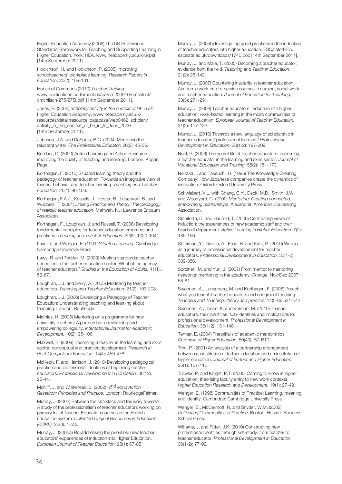Higher Education Academy (2006) The UK Professional Standards Framework for Teaching and Supporting Learning in Higher Education. York: HEA. www.heacademy.ac.uk/ukpsf [14th September 2011].

Hodkinson, H. and Hodkinson, P. (2005) Improving schoolteachers' workplace learning. *Research Papers in Education*. 20(2): 109-131.

House of Commons (2010) *Teacher Training*. www.publications.parliament.uk/pa/cm200910/cmselect/ cmchilsch/275/275i.pdf [14th September 2011].

Jones, R. (2006) *Scholarly activity in the context of HE in FE*. Higher Education Academy. www.heacademy.ac.uk/ resources/detail/resource\_database/web0462\_scholarly\_ activity\_in\_the\_context\_of\_he\_in\_fe\_June\_2006 [14th September 2011].

Johnson, J.A. and DeSpain, B.C. (2004) Mentoring the reluctant writer. *The Professional Educator.* 26(2): 45-55.

Kember, D. (2000) Action Learning and Action Research: improving the quality of teaching and learning. London: Kogan Page.

Korthagen, F. (2010) Situated learning theory and the pedagogy of teacher education: Towards an integrative view of teacher behavior and teacher learning. *Teaching and Teacher Education.* 26(1): 96-106.

Korthagen, F.A.J., Kessels, J., Koster, B., Lagerwerf, B. and Wubbels, T. (2001) *Linking Practice and Theory: The pedagogy of realistic teacher education*. Mahwah, NJ: Lawrence Erlbaum **Associates** 

Korthagen, F., Loughran, J. and Russell, T. (2006) Developing fundamental principles for teacher education programs and practices. *Teaching and Teacher Education.* 22(8): 1020-1041.

Lave, J. and Wenger, E. (1991) *Situated Learning*. Cambridge: Cambridge University Press.

Lawy, R. and Tedder, M. (2009) Meeting standards: teacher education in the further education sector. What of the agency of teacher educators? *Studies in the Education of Adults.* 41(1): 53-67.

Loughran, J.J. and Berry, A. (2005) Modelling by teacher educators. *Teaching and Teacher Education*. 21(2): 193-203.

Loughran, J.J. (2006) Developing a Pedagogy of Teacher Education: Understanding teaching and learning about teaching. London: Routledge.

Mathias, H. (2005) Mentoring on a programme for new university teachers: A partnership in revitalizing and empowering collegiality. *International Journal for Academic Development.* 10(2): 95-106.

Maxwell, B. (2009) Becoming a teacher in the learning and skills sector: conceptual and practice development. *Research in Post-Compulsory Education.* 14(4): 459-478.

McKeon, F. and Harrison, J. (2010) Developing pedagogical practice and professional identities of beginning teacher educators. *Professional Development in Education.* 36(12): 25-44.

McNiff, J. and Whitehead, J. (2002) (2nd edn.) *Action Research: Principles and Practice*. London: RoutledgeFalmer.

Murray, J. (2002) Between the chalkface and the ivory towers? A study of the professionalism of teacher educators working on primary Initial Teacher Education courses in the English education system. *Collected Original Resources in Education (CORE).* 26(3): 1-530.

Murray, J. (2005a) Re-addressing the priorities: new teacher educators' experiences of induction into Higher Education. *European Journal of Teacher Education*. 28(1): 67-85.

Murray, J. (2005b) Investigating good practices in the induction of teacher educators into higher education. ESCalate/HEA. escalate.ac.uk/downloads/1740.doc [14th September 2011].

Murray, J. and Male, T. (2005) Becoming a teacher educator: evidence from the field. *Teaching and Teacher Education*. 21(2): 25-142.

Murray, J. (2007) Countering insularity in teacher education. Academic work on pre-service courses in nursing, social work and teacher education. *Journal of Education for Teaching.* 33(3): 271-291.

Murray, J. (2008) Teacher educators' induction into higher education: work-based learning in the micro communities of teacher education. *European Journal of Teacher Education.* 31(2): 117-133.

Murray, J. (2010) Towards a new language of scholarship in teacher educators' professional learning? *Professional Development in Education.* 36(1-2): 197-209.

Noel, P. (2006) The secret life of teacher educators: becoming a teacher educator in the learning and skills sector. *Journal of Vocational Education and Training.* 58(2): 151-170.

Nonaka, I. and Takeuchi, H. (1995) The Knowledge-Creating Company: How Japanese companies create the dynamics of innovation. Oxford: Oxford University Press.

Schwiebert, V.L. with Chang, C.Y., Deck, M.D., Smith, J.W. and Woodyard, C. (2000) *Mentoring: Creating connected, empowering relationships*. Alexandria: American Counselling Association.

Staniforth, D. and Harland, T. (2006) Contrasting views of induction: the experiences of new academic staff and their heads of department. *Active Learning in Higher Education*. 7(2): 185-196.

Shteiman ,Y., Gidron, A., Eilon, B. and Katz, P. (2010) Writing as a journey of professional development for teacher educators. *Professional Development in Education.* 36(1-2): 339-356.

Sorcinelli, M. and Yun, J. (2007) From mentor to mentoring networks: mentoring in the academy. *Change*. Nov/Dec 2007: 58-61.

Swennen, A., Lunenberg, M. and Korthagen, F. (2008) Preach what you teach! Teacher educators and congruent teaching. *Teachers and Teaching: theory and practice.* 14(5-6): 531-542.

Swennen, A., Jones, K. and Volman, M. (2010) Teacher educators: their identities, sub-identities and implications for professional development. *Professional Development in Education.* 36(1-2): 131-148.

Tenner, E. (2004) The pitfalls of academic mentorships. *Chronicle of Higher Education.* 50(49): B7-B10.

Trim, P. (2001) An analysis of a partnership arrangement between an institution of further education and an institution of higher education. *Journal of Further and Higher Education*. 25(1): 107-116.

Trowler, P. and Knight, P.T. (2000) Coming to know in higher education: theorising faculty entry to new work contexts. *Higher Education Research and Development.* 19(1): 27-42.

Wenger, E. (1998) Communities of Practice: Learning, meaning and identity. Cambridge: Cambridge University Press.

Wenger, E., McDermott, R. and Snyder, W.M. (2002) *Cultivating Communities of Practice.* Boston: Harvard Business School Press.

Williams, J. and Ritter, J.K. (2010) Constructing new professional identities through self-study: from teacher to teacher educator. *Professional Development in Education.* 36(1-2): 77-92.